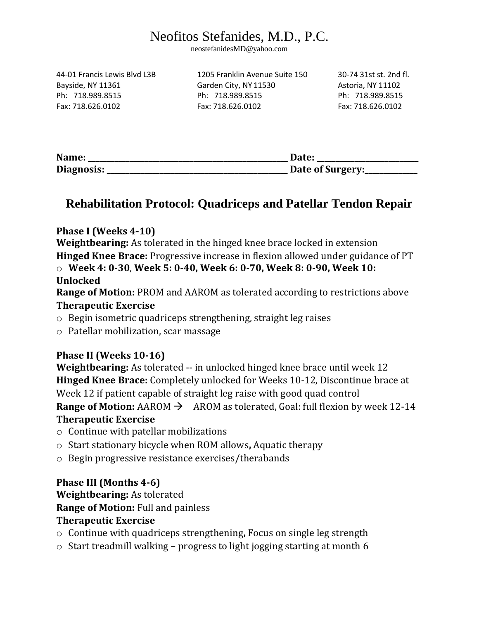# Neofitos Stefanides, M.D., P.C.

neostefanidesMD@yahoo.com

44-01 Francis Lewis Blvd L3B 1205 Franklin Avenue Suite 150 30-74 31st st. 2nd fl.

Bayside, NY 11361 Garden City, NY 11530 Astoria, NY 11102 Ph: 718.989.8515 Ph: 718.989.8515 Ph: 718.989.8515 Fax: 718.626.0102 Fax: 718.626.0102 Fax: 718.626.0102

| Name:      | Date:            |
|------------|------------------|
| Diagnosis: | Date of Surgery: |

### **Rehabilitation Protocol: Quadriceps and Patellar Tendon Repair**

#### **Phase I (Weeks 4-10)**

**Weightbearing:** As tolerated in the hinged knee brace locked in extension **Hinged Knee Brace:** Progressive increase in flexion allowed under guidance of PT o **Week 4: 0-30**, **Week 5: 0-40, Week 6: 0-70, Week 8: 0-90, Week 10: Unlocked** 

**Range of Motion:** PROM and AAROM as tolerated according to restrictions above **Therapeutic Exercise** 

- o Begin isometric quadriceps strengthening, straight leg raises
- o Patellar mobilization, scar massage

#### **Phase II (Weeks 10-16)**

**Weightbearing:** As tolerated -- in unlocked hinged knee brace until week 12 **Hinged Knee Brace:** Completely unlocked for Weeks 10-12, Discontinue brace at Week 12 if patient capable of straight leg raise with good quad control **Range of Motion:** AAROM  $\rightarrow$  AROM as tolerated, Goal: full flexion by week 12-14 **Therapeutic Exercise** 

- o Continue with patellar mobilizations
- o Start stationary bicycle when ROM allows**,** Aquatic therapy
- o Begin progressive resistance exercises/therabands

#### **Phase III (Months 4-6)**

**Weightbearing:** As tolerated

**Range of Motion:** Full and painless

#### **Therapeutic Exercise**

- o Continue with quadriceps strengthening**,** Focus on single leg strength
- $\circ$  Start treadmill walking progress to light jogging starting at month 6